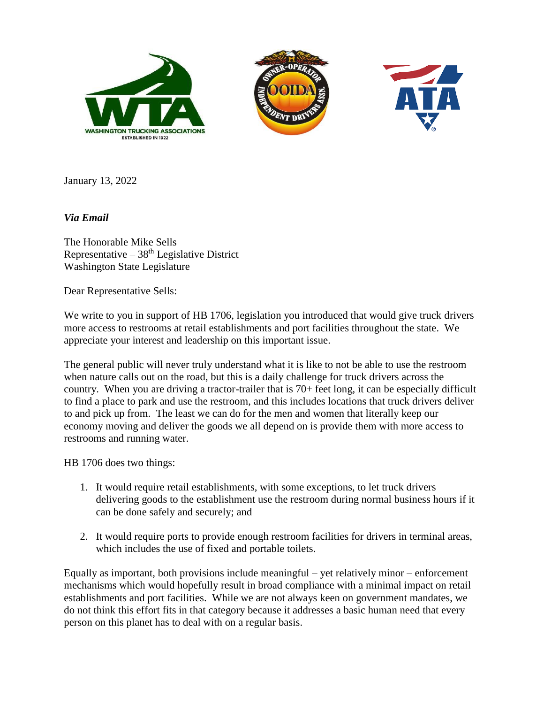





January 13, 2022

## *Via Email*

The Honorable Mike Sells Representative –  $38<sup>th</sup>$  Legislative District Washington State Legislature

Dear Representative Sells:

We write to you in support of HB 1706, legislation you introduced that would give truck drivers more access to restrooms at retail establishments and port facilities throughout the state. We appreciate your interest and leadership on this important issue.

The general public will never truly understand what it is like to not be able to use the restroom when nature calls out on the road, but this is a daily challenge for truck drivers across the country. When you are driving a tractor-trailer that is 70+ feet long, it can be especially difficult to find a place to park and use the restroom, and this includes locations that truck drivers deliver to and pick up from. The least we can do for the men and women that literally keep our economy moving and deliver the goods we all depend on is provide them with more access to restrooms and running water.

HB 1706 does two things:

- 1. It would require retail establishments, with some exceptions, to let truck drivers delivering goods to the establishment use the restroom during normal business hours if it can be done safely and securely; and
- 2. It would require ports to provide enough restroom facilities for drivers in terminal areas, which includes the use of fixed and portable toilets.

Equally as important, both provisions include meaningful – yet relatively minor – enforcement mechanisms which would hopefully result in broad compliance with a minimal impact on retail establishments and port facilities. While we are not always keen on government mandates, we do not think this effort fits in that category because it addresses a basic human need that every person on this planet has to deal with on a regular basis.